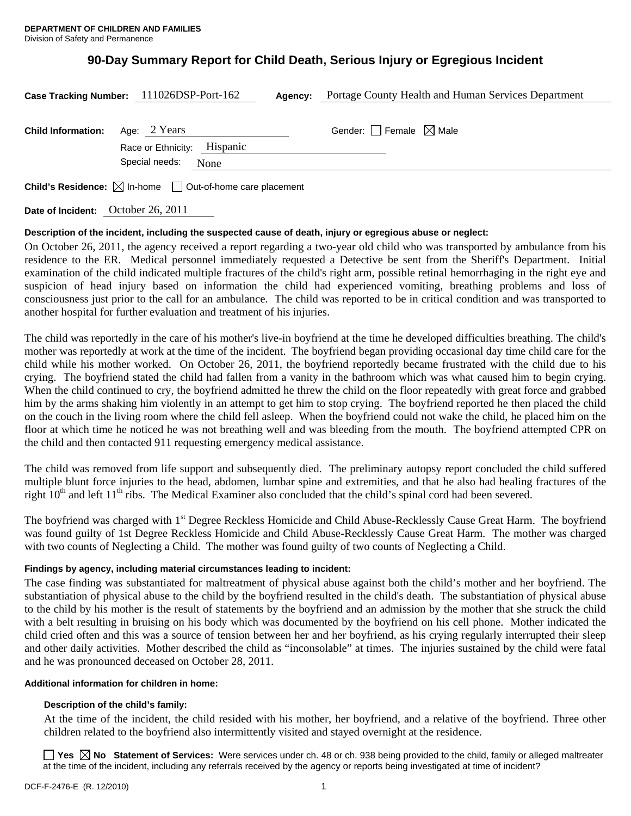# **90-Day Summary Report for Child Death, Serious Injury or Egregious Incident**

|                           | Case Tracking Number: 111026DSP-Port-162                                        | Agency: | Portage County Health and Human Services Department |
|---------------------------|---------------------------------------------------------------------------------|---------|-----------------------------------------------------|
| <b>Child Information:</b> | Age: 2 Years<br>Race or Ethnicity: Hispanic                                     |         | Gender: Female $\boxtimes$ Male                     |
|                           | Special needs:<br>None                                                          |         |                                                     |
|                           | <b>Child's Residence:</b> $\boxtimes$ In-home $\Box$ Out-of-home care placement |         |                                                     |

**Date of Incident:** October 26, 2011

#### **Description of the incident, including the suspected cause of death, injury or egregious abuse or neglect:**

On October 26, 2011, the agency received a report regarding a two-year old child who was transported by ambulance from his residence to the ER. Medical personnel immediately requested a Detective be sent from the Sheriff's Department. Initial examination of the child indicated multiple fractures of the child's right arm, possible retinal hemorrhaging in the right eye and suspicion of head injury based on information the child had experienced vomiting, breathing problems and loss of consciousness just prior to the call for an ambulance. The child was reported to be in critical condition and was transported to another hospital for further evaluation and treatment of his injuries.

The child was reportedly in the care of his mother's live-in boyfriend at the time he developed difficulties breathing. The child's mother was reportedly at work at the time of the incident. The boyfriend began providing occasional day time child care for the child while his mother worked. On October 26, 2011, the boyfriend reportedly became frustrated with the child due to his crying. The boyfriend stated the child had fallen from a vanity in the bathroom which was what caused him to begin crying. When the child continued to cry, the boyfriend admitted he threw the child on the floor repeatedly with great force and grabbed him by the arms shaking him violently in an attempt to get him to stop crying. The boyfriend reported he then placed the child on the couch in the living room where the child fell asleep. When the boyfriend could not wake the child, he placed him on the floor at which time he noticed he was not breathing well and was bleeding from the mouth. The boyfriend attempted CPR on the child and then contacted 911 requesting emergency medical assistance.

The child was removed from life support and subsequently died. The preliminary autopsy report concluded the child suffered multiple blunt force injuries to the head, abdomen, lumbar spine and extremities, and that he also had healing fractures of the right  $10^{th}$  and left  $11^{th}$  ribs. The Medical Examiner also concluded that the child's spinal cord had been severed.

The boyfriend was charged with 1<sup>st</sup> Degree Reckless Homicide and Child Abuse-Recklessly Cause Great Harm. The boyfriend was found guilty of 1st Degree Reckless Homicide and Child Abuse-Recklessly Cause Great Harm. The mother was charged with two counts of Neglecting a Child. The mother was found guilty of two counts of Neglecting a Child.

#### **Findings by agency, including material circumstances leading to incident:**

The case finding was substantiated for maltreatment of physical abuse against both the child's mother and her boyfriend. The substantiation of physical abuse to the child by the boyfriend resulted in the child's death. The substantiation of physical abuse to the child by his mother is the result of statements by the boyfriend and an admission by the mother that she struck the child with a belt resulting in bruising on his body which was documented by the boyfriend on his cell phone. Mother indicated the child cried often and this was a source of tension between her and her boyfriend, as his crying regularly interrupted their sleep and other daily activities. Mother described the child as "inconsolable" at times. The injuries sustained by the child were fatal and he was pronounced deceased on October 28, 2011.

#### **Additional information for children in home:**

#### **Description of the child's family:**

 At the time of the incident, the child resided with his mother, her boyfriend, and a relative of the boyfriend. Three other children related to the boyfriend also intermittently visited and stayed overnight at the residence.

■ Yes **No** Statement of Services: Were services under ch. 48 or ch. 938 being provided to the child, family or alleged maltreater at the time of the incident, including any referrals received by the agency or reports being investigated at time of incident?